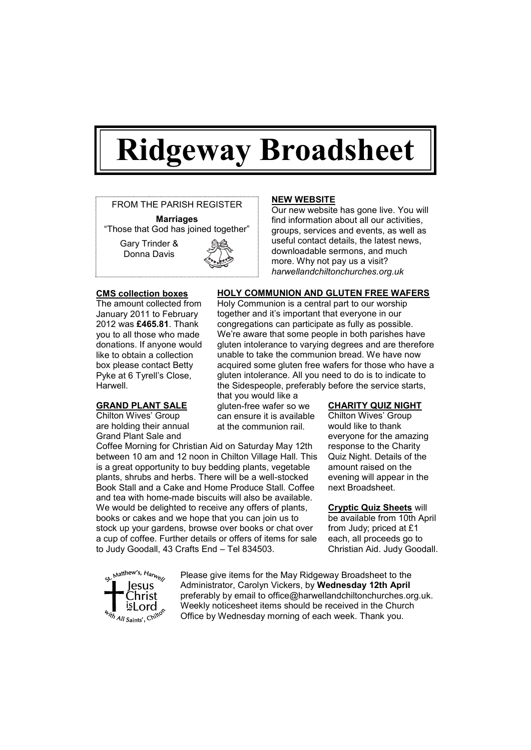# **Ridgeway Broadsheet**



### **CMS collection boxes**

The amount collected from January 2011 to February 2012 was **£465.81**. Thank you to all those who made donations. If anyone would like to obtain a collection box please contact Betty Pyke at 6 Tyrell's Close, Harwell.

## **GRAND PLANT SALE**

Chilton Wives' Group are holding their annual Grand Plant Sale and

Coffee Morning for Christian Aid on Saturday May 12th between 10 am and 12 noon in Chilton Village Hall. This is a great opportunity to buy bedding plants, vegetable plants, shrubs and herbs. There will be a well-stocked Book Stall and a Cake and Home Produce Stall. Coffee and tea with home-made biscuits will also be available. We would be delighted to receive any offers of plants, books or cakes and we hope that you can join us to stock up your gardens, browse over books or chat over a cup of coffee. Further details or offers of items for sale to Judy Goodall, 43 Crafts End – Tel 834503.

### **NEW WEBSITE**

Our new website has gone live. You will find information about all our activities, groups, services and events, as well as useful contact details, the latest news, downloadable sermons, and much more. Why not pay us a visit? *harwellandchiltonchurches.org.uk*

### **HOLY COMMUNION AND GLUTEN FREE WAFERS**

Holy Communion is a central part to our worship together and it's important that everyone in our congregations can participate as fully as possible. We're aware that some people in both parishes have gluten intolerance to varying degrees and are therefore unable to take the communion bread. We have now acquired some gluten free wafers for those who have a gluten intolerance. All you need to do is to indicate to the Sidespeople, preferably before the service starts,

that you would like a gluten-free wafer so we can ensure it is available at the communion rail.

#### **CHARITY QUIZ NIGHT**

Chilton Wives' Group would like to thank everyone for the amazing response to the Charity Quiz Night. Details of the amount raised on the evening will appear in the next Broadsheet.

### **Cryptic Quiz Sheets** will

be available from 10th April from Judy; priced at £1 each, all proceeds go to Christian Aid. Judy Goodall.



Please give items for the May Ridgeway Broadsheet to the Administrator, Carolyn Vickers, by **Wednesday 12th April** preferably by email to office@harwellandchiltonchurches.org.uk. Weekly noticesheet items should be received in the Church Office by Wednesday morning of each week. Thank you.